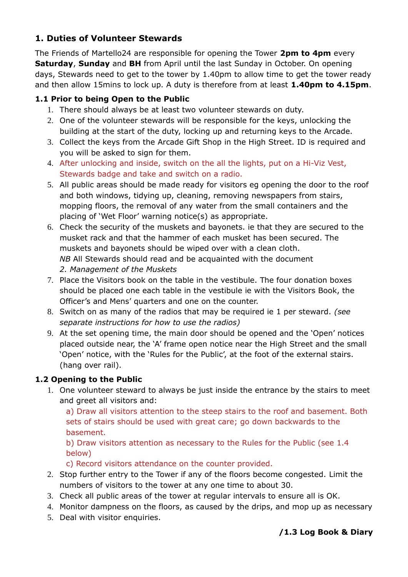# **1. Duties of Volunteer Stewards**

The Friends of Martello24 are responsible for opening the Tower **2pm to 4pm** every **Saturday**, **Sunday** and **BH** from April until the last Sunday in October. On opening days, Stewards need to get to the tower by 1.40pm to allow time to get the tower ready and then allow 15mins to lock up. A duty is therefore from at least **1.40pm to 4.15pm**.

## **1.1 Prior to being Open to the Public**

- 1. There should always be at least two volunteer stewards on duty.
- 2. One of the volunteer stewards will be responsible for the keys, unlocking the building at the start of the duty, locking up and returning keys to the Arcade.
- 3. Collect the keys from the Arcade Gift Shop in the High Street. ID is required and you will be asked to sign for them.
- 4. After unlocking and inside, switch on the all the lights, put on a Hi-Viz Vest, Stewards badge and take and switch on a radio.
- 5. All public areas should be made ready for visitors eg opening the door to the roof and both windows, tidying up, cleaning, removing newspapers from stairs, mopping floors, the removal of any water from the small containers and the placing of 'Wet Floor' warning notice(s) as appropriate.
- 6. Check the security of the muskets and bayonets. ie that they are secured to the musket rack and that the hammer of each musket has been secured. The muskets and bayonets should be wiped over with a clean cloth. *NB* All Stewards should read and be acquainted with the document *2. Management of the Muskets*
- 7. Place the Visitors book on the table in the vestibule. The four donation boxes should be placed one each table in the vestibule ie with the Visitors Book, the Officer's and Mens' quarters and one on the counter.
- 8. Switch on as many of the radios that may be required ie 1 per steward. *(see separate instructions for how to use the radios)*
- 9. At the set opening time, the main door should be opened and the 'Open' notices placed outside near, the 'A' frame open notice near the High Street and the small 'Open' notice, with the 'Rules for the Public', at the foot of the external stairs. (hang over rail).

## **1.2 Opening to the Public**

1. One volunteer steward to always be just inside the entrance by the stairs to meet and greet all visitors and:

a) Draw all visitors attention to the steep stairs to the roof and basement. Both sets of stairs should be used with great care; go down backwards to the basement.

b) Draw visitors attention as necessary to the Rules for the Public (see 1.4 below)

c) Record visitors attendance on the counter provided.

- 2. Stop further entry to the Tower if any of the floors become congested. Limit the numbers of visitors to the tower at any one time to about 30.
- 3. Check all public areas of the tower at regular intervals to ensure all is OK.
- 4. Monitor dampness on the floors, as caused by the drips, and mop up as necessary
- 5. Deal with visitor enquiries.